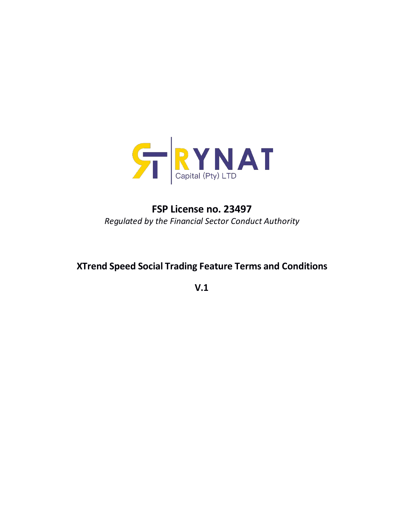

# **FSP License no. 23497** *Regulated by the Financial Sector Conduct Authority*

## **XTrend Speed Social Trading Feature Terms and Conditions**

**V.1**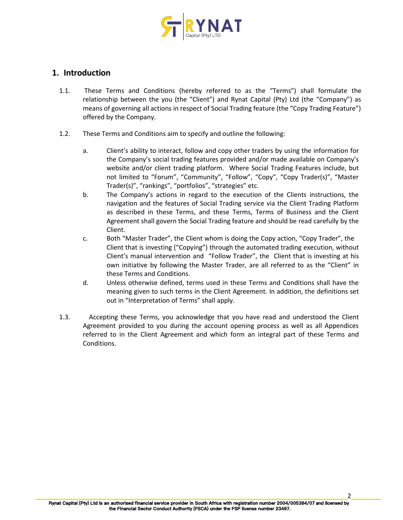

## **1. Introduction**

- 1.1. These Terms and Conditions (hereby referred to as the "Terms") shall formulate the relationship between the you (the "Client") and Rynat Capital (Pty) Ltd (the "Company") as means of governing all actions in respect of Social Trading feature (the "Copy Trading Feature") offered by the Company.
- 1.2. These Terms and Conditions aim to specify and outline the following:
	- a. Client's ability to interact, follow and copy other traders by using the information for the Company's social trading features provided and/or made available on Company's website and/or client trading platform. Where Social Trading Features include, but not limited to "Forum", "Community", "Follow", "Copy", "Copy Trader(s)", "Master Trader(s)", "rankings", "portfolios", "strategies" etc.
	- b. The Company's actions in regard to the execution of the Clients instructions, the navigation and the features of Social Trading service via the Client Trading Platform as described in these Terms, and these Terms, Terms of Business and the Client Agreement shall govern the Social Trading feature and should be read carefully by the Client.
	- c. Both "Master Trader", the Client whom is doing the Copy action, "Copy Trader", the Client that is investing ("Copying") through the automated trading execution, without Client's manual intervention and "Follow Trader", the Client that is investing at his own initiative by following the Master Trader, are all referred to as the "Client" in these Terms and Conditions.
	- d. Unless otherwise defined, terms used in these Terms and Conditions shall have the meaning given to such terms in the Client Agreement. In addition, the definitions set out in "Interpretation of Terms" shall apply.
- 1.3. Accepting these Terms, you acknowledge that you have read and understood the Client Agreement provided to you during the account opening process as well as all Appendices referred to in the Client Agreement and which form an integral part of these Terms and Conditions.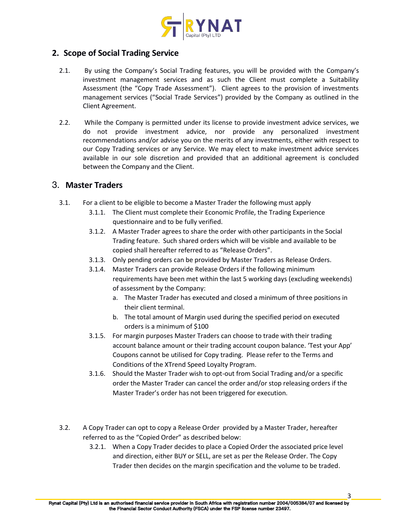

## **2. Scope of Social Trading Service**

- 2.1. By using the Company's Social Trading features, you will be provided with the Company's investment management services and as such the Client must complete a Suitability Assessment (the "Copy Trade Assessment"). Client agrees to the provision of investments management services ("Social Trade Services") provided by the Company as outlined in the Client Agreement.
- 2.2. While the Company is permitted under its license to provide investment advice services, we do not provide investment advice, nor provide any personalized investment recommendations and/or advise you on the merits of any investments, either with respect to our Copy Trading services or any Service. We may elect to make investment advice services available in our sole discretion and provided that an additional agreement is concluded between the Company and the Client.

#### 3. **Master Traders**

- 3.1. For a client to be eligible to become a Master Trader the following must apply
	- 3.1.1. The Client must complete their Economic Profile, the Trading Experience questionnaire and to be fully verified.
	- 3.1.2. A Master Trader agrees to share the order with other participants in the Social Trading feature. Such shared orders which will be visible and available to be copied shall hereafter referred to as "Release Orders".
	- 3.1.3. Only pending orders can be provided by Master Traders as Release Orders.
	- 3.1.4. Master Traders can provide Release Orders if the following minimum requirements have been met within the last 5 working days (excluding weekends) of assessment by the Company:
		- a. The Master Trader has executed and closed a minimum of three positions in their client terminal.
		- b. The total amount of Margin used during the specified period on executed orders is a minimum of \$100
	- 3.1.5. For margin purposes Master Traders can choose to trade with their trading account balance amount or their trading account coupon balance. 'Test your App' Coupons cannot be utilised for Copy trading. Please refer to the Terms and Conditions of the XTrend Speed Loyalty Program.
	- 3.1.6. Should the Master Trader wish to opt-out from Social Trading and/or a specific order the Master Trader can cancel the order and/or stop releasing orders if the Master Trader's order has not been triggered for execution.
- 3.2. A Copy Trader can opt to copy a Release Order provided by a Master Trader, hereafter referred to as the "Copied Order" as described below:
	- 3.2.1. When a Copy Trader decides to place a Copied Order the associated price level and direction, either BUY or SELL, are set as per the Release Order. The Copy Trader then decides on the margin specification and the volume to be traded.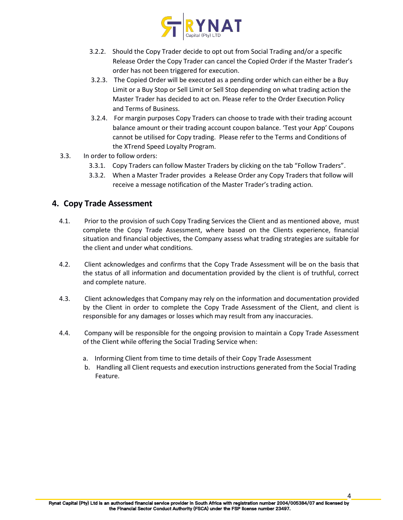

- 3.2.2. Should the Copy Trader decide to opt out from Social Trading and/or a specific Release Order the Copy Trader can cancel the Copied Order if the Master Trader's order has not been triggered for execution.
- 3.2.3. The Copied Order will be executed as a pending order which can either be a Buy Limit or a Buy Stop or Sell Limit or Sell Stop depending on what trading action the Master Trader has decided to act on. Please refer to the Order Execution Policy and Terms of Business.
- 3.2.4. For margin purposes Copy Traders can choose to trade with their trading account balance amount or their trading account coupon balance. 'Test your App' Coupons cannot be utilised for Copy trading. Please refer to the Terms and Conditions of the XTrend Speed Loyalty Program.
- 3.3. In order to follow orders:
	- 3.3.1. Copy Traders can follow Master Traders by clicking on the tab "Follow Traders".
	- 3.3.2. When a Master Trader provides a Release Order any Copy Traders that follow will receive a message notification of the Master Trader's trading action.

#### **4. Copy Trade Assessment**

- 4.1. Prior to the provision of such Copy Trading Services the Client and as mentioned above, must complete the Copy Trade Assessment, where based on the Clients experience, financial situation and financial objectives, the Company assess what trading strategies are suitable for the client and under what conditions.
- 4.2. Client acknowledges and confirms that the Copy Trade Assessment will be on the basis that the status of allinformation and documentation provided by the client is of truthful, correct and complete nature.
- 4.3. Client acknowledges that Company may rely on the information and documentation provided by the Client in order to complete the Copy Trade Assessment of the Client, and client is responsible for any damages or losses which may result from any inaccuracies.
- 4.4. Company will be responsible for the ongoing provision to maintain a Copy Trade Assessment of the Client while offering the Social Trading Service when:
	- a. Informing Client from time to time details of their Copy Trade Assessment
	- b. Handling all Client requests and execution instructions generated from the Social Trading Feature.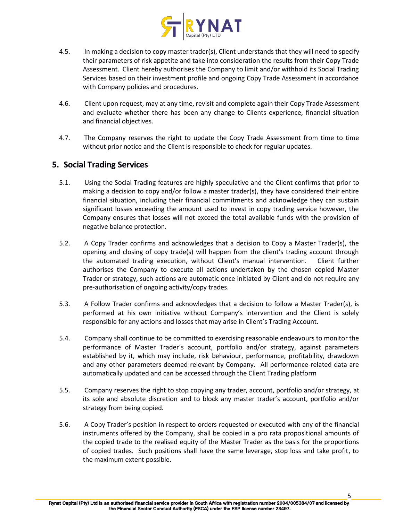

- 4.5. In making a decision to copy master trader(s), Client understands that they will need to specify their parameters of risk appetite and take into consideration the results from their Copy Trade Assessment. Client hereby authorises the Company to limit and/or withhold its Social Trading Services based on their investment profile and ongoing Copy Trade Assessment in accordance with Company policies and procedures.
- 4.6. Client upon request, may at any time, revisit and complete again their Copy Trade Assessment and evaluate whether there has been any change to Clients experience, financial situation and financial objectives.
- 4.7. The Company reserves the right to update the Copy Trade Assessment from time to time without prior notice and the Client is responsible to check for regular updates.

## **5. Social Trading Services**

- 5.1. Using the Social Trading features are highly speculative and the Client confirms that prior to making a decision to copy and/or follow a master trader(s), they have considered their entire financial situation, including their financial commitments and acknowledge they can sustain significant losses exceeding the amount used to invest in copy trading service however, the Company ensures that losses will not exceed the total available funds with the provision of negative balance protection.<br>5.2. A Copy Trader confirms and acknowledges that a decision to Copy a Master Trader(s), the
- opening and closing of copy trade(s) will happen from the client's trading account through the automated trading execution, without Client's manual intervention. Client further authorises the Company to execute all actions undertaken bythe chosen copied Master Trader or strategy, such actions are automatic once initiated by Client and do not require any pre-authorisation of ongoing activity/copy trades.
- 5.3. A Follow Trader confirms and acknowledges that a decision to follow a Master Trader(s), is performed at his own initiative without Company's intervention and the Client is solely responsible for any actions and losses that may arise in Client's Trading Account.
- 5.4. Company shall continue to be committed to exercising reasonable endeavours to monitor the performance of Master Trader's account, portfolio and/or strategy, against parameters established by it, which may include, risk behaviour, performance, profitability, drawdown and any other parameters deemed relevant by Company. All performance-related data are automatically updated and can be accessed through the Client Trading platform
- 5.5. Company reserves the right to stop copying any trader, account, portfolio and/or strategy, at its sole and absolute discretion and to block any master trader's account, portfolio and/or strategy from being copied.
- 5.6. A Copy Trader's position in respect to orders requested or executed with any of the financial instruments offered by the Company, shall be copied in a pro rata propositional amounts of the copied trade to the realised equity of the Master Trader as the basis for the proportions of copied trades. Such positions shall have the same leverage, stop loss and take profit, to the maximum extent possible.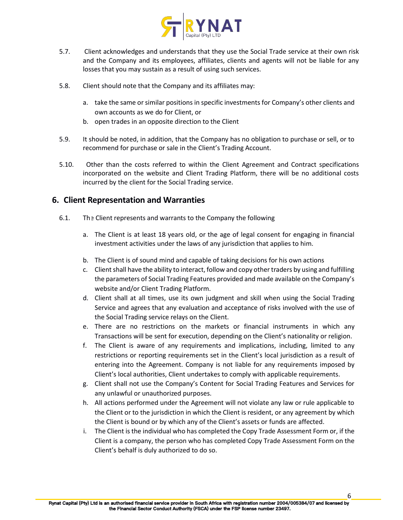

- 5.7. Client acknowledges and understands that they use the Social Trade service at their own risk and the Company and its employees, affiliates, clients and agents will not be liable for any losses that you may sustain as a result of using such services.
- 5.8. Client should note that the Company and its affiliates may:
	- a. take the same or similar positions in specific investments for Company's other clients and own accounts as we do for Client, or
	- b. open trades in an opposite direction to the Client
- 5.9. It should be noted, in addition, that the Company has no obligation to purchase or sell, or to recommend for purchase or sale in the Client's Trading Account.
- 5.10. Other than the costs referred to within the Client Agreement and Contract specifications incorporated on the website and Client Trading Platform, there will be no additional costs incurred by the client for the Social Trading service.

#### **6. Client Representation and Warranties**

- 6.1. The Client represents and warrants to the Company the following
	- The Client represents and warrants to the Company the following<br>a. The Client is at least 18 years old, or the age of legal consent for engaging in financial investment activities under the laws of any jurisdiction that applies to him.
	- b. The Client is of sound mind and capable of taking decisions for his own actions
	- c. Client shall have the ability to interact, follow and copy other traders by using and fulfilling the parameters of Social Trading Features provided and made available on the Company's website and/or Client Trading Platform.
	- d. Client shall at all times, use its own judgment and skill when using the Social Trading Service and agrees that any evaluation and acceptance of risks involved with the use of the Social Trading service relays on the Client.
	- e. There are no restrictions on the markets or financial instruments in which any Transactions will be sent for execution, depending on the Client's nationality or religion.
	- f. The Client is aware of any requirements and implications, including, limited to any restrictions or reporting requirements set in the Client's local jurisdiction as a result of entering into the Agreement. Company is not liable for any requirements imposed by Client's local authorities, Client undertakes to comply with applicable requirements.
	- g. Client shall not use the Company's Content for Social Trading Features and Services for any unlawful or unauthorized purposes.
	- h. All actions performed under the Agreement will not violate any law or rule applicable to the Client or to the jurisdiction in which the Client is resident, or any agreement by which the Client is bound or by which any of the Client's assets or funds are affected.
	- i. The Client is the individual who has completed the Copy Trade Assessment Form or, if the Client is a company, the person who has completed Copy Trade Assessment Form on the Client's behalf is duly authorized to do so.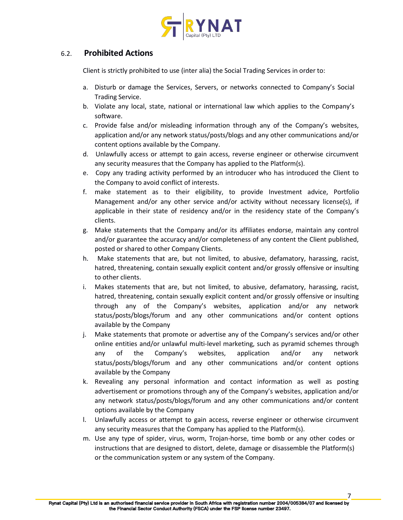

#### 6.2. **Prohibited Actions**

Client is strictly prohibited to use (inter alia) the Social Trading Services in order to:

- a. Disturb or damage the Services, Servers, or networks connected to Company's Social Trading Service.
- b. Violate any local, state, national or international law which applies to the Company's software.
- c. Provide false and/or misleading information through any of the Company's websites, application and/or any network status/posts/blogs and any other communications and/or content options available by the Company.
- d. Unlawfully access or attempt to gain access, reverse engineer or otherwise circumvent any security measures that the Company has applied to the Platform(s).
- e. Copy any trading activity performed by an introducer who has introduced the Client to the Company to avoid conflict of interests.
- f. make statement as to their eligibility, to provide Investment advice, Portfolio Management and/or any other service and/or activity without necessary license(s), if applicable in their state of residency and/or in the residency state of the Company's clients.
- g. Make statements that the Company and/or its affiliates endorse, maintain any control and/or guarantee the accuracy and/or completeness of any content the Client published, posted or shared to other Company Clients.
- h. Make statements that are, but not limited, to abusive, defamatory, harassing, racist, hatred, threatening, contain sexually explicit content and/or grossly offensive or insulting to other clients.
- i. Makes statements that are, but not limited, to abusive, defamatory, harassing, racist, hatred, threatening, contain sexually explicit content and/or grossly offensive or insulting through any of the Company's websites, application and/or any network status/posts/blogs/forum and any other communications and/or content options available by the Company
- j. Make statements that promote or advertise any of the Company's services and/or other online entities and/or unlawful multi-level marketing, such as pyramid schemes through any of the Company's websites, application and/or any network status/posts/blogs/forum and any other communications and/or content options available by the Company
- k. Revealing any personal information and contact information as well as posting advertisement or promotions through any of the Company's websites, application and/or any network status/posts/blogs/forum and any other communications and/or content options available by the Company
- l. Unlawfully access or attempt to gain access, reverse engineer or otherwise circumvent any security measures that the Company has applied to the Platform(s).
- m. Use any type of spider, virus, worm, Trojan-horse, time bomb or any other codes or instructions that are designed to distort, delete, damage or disassemble the Platform(s) or the communication system or any system of the Company.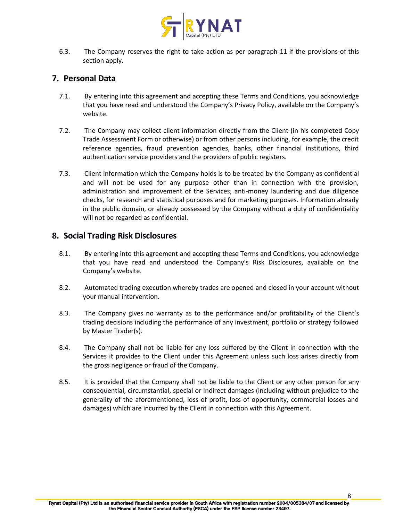

6.3. The Company reserves the right to take action as per paragraph 11 if the provisions of this section apply.

## **7. Personal Data**

- 7.1. By entering into this agreement and accepting these Terms and Conditions, you acknowledge that you have read and understood the Company's Privacy Policy, available on the Company's website.
- 7.2. The Company may collect client information directly from the Client (in his completed Copy Trade Assessment Form or otherwise) or from other persons including, for example, the credit reference agencies, fraud prevention agencies, banks, other financial institutions, third authentication service providers and the providers of public registers.
- 7.3. Client information which the Company holds is to be treated by the Company asconfidential and will not be used for any purpose other than in connection with the provision, administration and improvement of the Services, anti-money laundering and due diligence checks, for research and statistical purposes and for marketing purposes. Information already in the public domain, or already possessed by the Company without a duty of confidentiality will not be regarded as confidential.

#### **8. Social Trading Risk Disclosures**

- 8.1. By entering into this agreement and accepting these Terms and Conditions, you acknowledge that you have read and understood the Company's Risk Disclosures, available on the Company's website.
- 8.2. Automated trading execution whereby trades are opened and closed in your account without your manual intervention.
- 8.3. The Company gives no warranty as to the performance and/or profitability of the Client's trading decisions including the performance of any investment, portfolio or strategy followed by Master Trader(s).
- 8.4. The Company shall not be liable for any loss suffered by the Client in connection with the Services it provides to the Client under this Agreement unless such loss arises directly from the gross negligence or fraud of the Company.
- 8.5. It is provided that the Company shall not be liable to the Client or any other person for any consequential, circumstantial, special or indirect damages (including without prejudice to the generality of the aforementioned, loss of profit, loss of opportunity, commercial losses and damages) which are incurred by the Client in connection with this Agreement.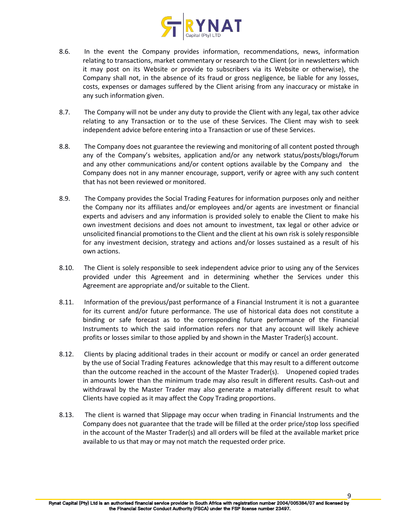

- 8.6. In the event the Company provides information, recommendations, news, information relating to transactions, market commentary or research to the Client (or in newsletters which it may post on its Website or provide to subscribers via its Website or otherwise), the Company shall not, in the absence of its fraud or gross negligence, be liable for any losses, costs, expenses or damages suffered by the Client arising from any inaccuracy or mistake in any such information given.
- 8.7. The Company will not be under any duty to provide the Client with any legal, tax other advice relating to any Transaction or to the use of these Services. The Client may wish to seek independent advice before entering into a Transaction or use of these Services.
- 8.8. The Company does not guarantee the reviewing and monitoring of all content posted through any of the Company's websites, application and/or any network status/posts/blogs/forum and any other communications and/or content options available by the Company and the Company does not in any manner encourage, support, verify or agree with any such content that has not been reviewed or monitored.
- 8.9. The Company provides the Social Trading Features for information purposes only and neither the Company nor its affiliates and/or employees and/or agents are investment or financial experts and advisers and any information is provided solely to enable the Client to make his own investment decisions and does not amount to investment, tax legal or other advice or unsolicited financial promotionsto the Client and the client at his own risk is solely responsible for any investment decision, strategy and actions and/or losses sustained as a result of his own actions.
- 8.10. The Client is solely responsible to seek independent advice prior to using any of the Services provided under this Agreement and in determining whether the Services under this Agreement are appropriate and/or suitable to the Client.
- 8.11. Information of the previous/past performance of a Financial Instrument it is not a guarantee for its current and/or future performance. The use of historical data does not constitute a binding or safe forecast as to the corresponding future performance of the Financial Instruments to which the said information refers nor that any account will likely achieve profits or losses similar to those applied by and shown in the Master Trader(s) account.
- 8.12. Clients by placing additional trades in their account or modify or cancel an order generated by the use of Social Trading Features acknowledge that this may result to a different outcome than the outcome reached in the account of the Master Trader(s). Unopened copied trades in amounts lower than the minimum trade may also result in different results. Cash-out and withdrawal by the Master Trader may also generate a materially different result to what Clients have copied as it may affect the Copy Trading proportions.
- 8.13. The client is warned that Slippage may occur when trading in Financial Instruments and the Company does not guarantee that the trade will be filled at the order price/stop loss specified in the account of the Master Trader(s) and all orders will be filed at the available market price available to us that may or may not match the requested order price.

9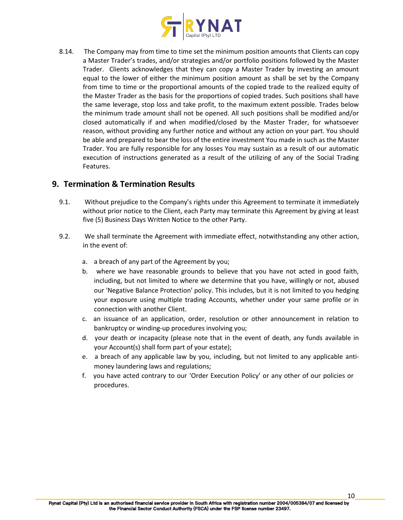

8.14. The Company may from time to time set the minimum position amounts that Clients can copy a Master Trader's trades, and/or strategies and/or portfolio positions followed by the Master Trader. Clients acknowledges that they can copy a Master Trader by investing an amount equal to the lower of either the minimum position amount as shall be set by the Company from time to time or the proportional amounts of the copied trade to the realized equity of the Master Trader as the basis for the proportions of copied trades. Such positions shall have the same leverage, stop loss and take profit, to the maximum extent possible. Trades below the minimum trade amount shall not be opened. All such positions shall be modified and/or closed automatically if and when modified/closed by the Master Trader, for whatsoever reason, without providing any further notice and without any action on your part. You should be able and prepared to bear the loss of the entire investment You made in such as the Master Trader. You are fully responsible for any losses You may sustain as a result of our automatic execution of instructions generated as a result of the utilizing of any of the Social Trading Features.

#### **9. Termination & Termination Results**

- 9.1. Without prejudice to the Company's rights under this Agreement to terminate it immediately without prior notice to the Client, each Party may terminate this Agreement by giving at least five (5) Business Days Written Notice to the other Party.
- 9.2. We shall terminate the Agreement with immediate effect, notwithstanding any other action, in the event of:
	- a. a breach of any part of the Agreement by you;
	- b. where we have reasonable grounds to believe that you have not acted in good faith, including, but not limited to where we determine that you have, willingly or not, abused our 'Negative Balance Protection' policy. This includes, but it is not limited to you hedging your exposure using multiple trading Accounts, whether under your same profile or in connection with another Client.
	- c. an issuance of an application, order, resolution or other announcement in relation to bankruptcy or winding-up procedures involving you;
	- d. your death or incapacity (please note that in the event of death, any funds available in your Account(s) shall form part of your estate);
	- e. a breach of any applicable law by you, including, but not limited to any applicable anti money laundering laws and regulations;
	- f. you have acted contrary to our 'Order Execution Policy' or any other of our policies or procedures.